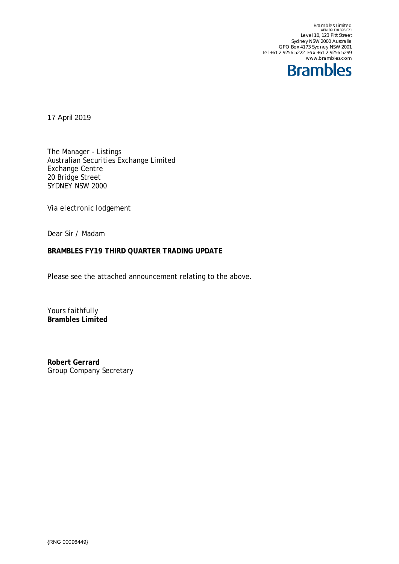Brambles Limited<br>ABN 89 118 896 021<br>Level 10, 123 Pitt Street Sydney NSW 2000 Australia GPO Box 4173 Sydney NSW 2001 Tel +61 2 9256 5222 Fax +61 2 9256 5299 www.brambles.com



17 April 2019

The Manager - Listings Australian Securities Exchange Limited Exchange Centre 20 Bridge Street SYDNEY NSW 2000

*Via electronic lodgement*

Dear Sir / Madam

#### **BRAMBLES FY19 THIRD QUARTER TRADING UPDATE**

Please see the attached announcement relating to the above.

Yours faithfully **Brambles Limited**

**Robert Gerrard** Group Company Secretary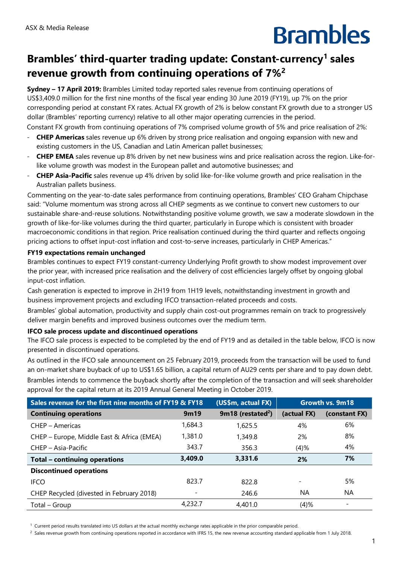# **Brambles**

### **Brambles' third-quarter trading update: Constant-currency[1](#page-1-0) sales revenue growth from continuing operations of 7%[2](#page-1-1)**

**Sydney – 17 April 2019:** Brambles Limited today reported sales revenue from continuing operations of US\$3,409.0 million for the first nine months of the fiscal year ending 30 June 2019 (FY19), up 7% on the prior corresponding period at constant FX rates. Actual FX growth of 2% is below constant FX growth due to a stronger US dollar (Brambles' reporting currency) relative to all other major operating currencies in the period.

- Constant FX growth from continuing operations of 7% comprised volume growth of 5% and price realisation of 2%: - **CHEP Americas** sales revenue up 6% driven by strong price realisation and ongoing expansion with new and existing customers in the US, Canadian and Latin American pallet businesses;
- **CHEP EMEA** sales revenue up 8% driven by net new business wins and price realisation across the region. Like-forlike volume growth was modest in the European pallet and automotive businesses; and
- **CHEP Asia-Pacific** sales revenue up 4% driven by solid like-for-like volume growth and price realisation in the Australian pallets business.

Commenting on the year-to-date sales performance from continuing operations, Brambles' CEO Graham Chipchase said: "Volume momentum was strong across all CHEP segments as we continue to convert new customers to our sustainable share-and-reuse solutions. Notwithstanding positive volume growth, we saw a moderate slowdown in the growth of like-for-like volumes during the third quarter, particularly in Europe which is consistent with broader macroeconomic conditions in that region. Price realisation continued during the third quarter and reflects ongoing pricing actions to offset input-cost inflation and cost-to-serve increases, particularly in CHEP Americas."

### **FY19 expectations remain unchanged**

Brambles continues to expect FY19 constant-currency Underlying Profit growth to show modest improvement over the prior year, with increased price realisation and the delivery of cost efficiencies largely offset by ongoing global input-cost inflation.

Cash generation is expected to improve in 2H19 from 1H19 levels, notwithstanding investment in growth and business improvement projects and excluding IFCO transaction-related proceeds and costs.

Brambles' global automation, productivity and supply chain cost-out programmes remain on track to progressively deliver margin benefits and improved business outcomes over the medium term.

#### **IFCO sale process update and discontinued operations**

The IFCO sale process is expected to be completed by the end of FY19 and as detailed in the table below, IFCO is now presented in discontinued operations.

As outlined in the IFCO sale announcement on 25 February 2019, proceeds from the transaction will be used to fund an on-market share buyback of up to US\$1.65 billion, a capital return of AU29 cents per share and to pay down debt. Brambles intends to commence the buyback shortly after the completion of the transaction and will seek shareholder approval for the capital return at its 2019 Annual General Meeting in October 2019.

| Sales revenue for the first nine months of FY19 & FY18 |                          | (US\$m, actual FX)              | Growth vs. 9m18 |               |
|--------------------------------------------------------|--------------------------|---------------------------------|-----------------|---------------|
| <b>Continuing operations</b>                           | 9m19                     | $9m18$ (restated <sup>2</sup> ) | (actual FX)     | (constant FX) |
| CHEP - Americas                                        | 1,684.3                  | 1,625.5                         | 4%              | 6%            |
| CHEP - Europe, Middle East & Africa (EMEA)             | 1,381.0                  | 1,349.8                         | 2%              | 8%            |
| CHEP - Asia-Pacific                                    | 343.7                    | 356.3                           | (4)%            | 4%            |
| Total - continuing operations                          | 3,409.0                  | 3,331.6                         | 2%              | 7%            |
| <b>Discontinued operations</b>                         |                          |                                 |                 |               |
| <b>IFCO</b>                                            | 823.7                    | 822.8                           |                 | 5%            |
| CHEP Recycled (divested in February 2018)              | $\overline{\phantom{a}}$ | 246.6                           | NA              | NA            |
| Total – Group                                          | 4.232.7                  | 4,401.0                         | (4)%            |               |

<span id="page-1-0"></span><sup>1</sup> Current period results translated into US dollars at the actual monthly exchange rates applicable in the prior comparable period.

<span id="page-1-1"></span><sup>2</sup> Sales revenue growth from continuing operations reported in accordance with IFRS 15, the new revenue accounting standard applicable from 1 July 2018.